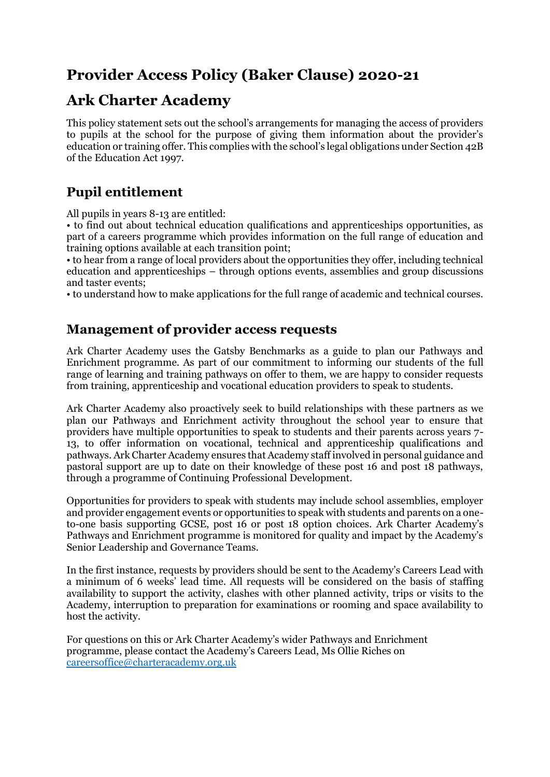# **Provider Access Policy (Baker Clause) 2020-21**

# **Ark Charter Academy**

This policy statement sets out the school's arrangements for managing the access of providers to pupils at the school for the purpose of giving them information about the provider's education or training offer. This complies with the school's legal obligations under Section 42B of the Education Act 1997.

## **Pupil entitlement**

All pupils in years 8-13 are entitled:

• to find out about technical education qualifications and apprenticeships opportunities, as part of a careers programme which provides information on the full range of education and training options available at each transition point;

• to hear from a range of local providers about the opportunities they offer, including technical education and apprenticeships – through options events, assemblies and group discussions and taster events;

• to understand how to make applications for the full range of academic and technical courses.

### **Management of provider access requests**

Ark Charter Academy uses the Gatsby Benchmarks as a guide to plan our Pathways and Enrichment programme. As part of our commitment to informing our students of the full range of learning and training pathways on offer to them, we are happy to consider requests from training, apprenticeship and vocational education providers to speak to students.

Ark Charter Academy also proactively seek to build relationships with these partners as we plan our Pathways and Enrichment activity throughout the school year to ensure that providers have multiple opportunities to speak to students and their parents across years 7- 13, to offer information on vocational, technical and apprenticeship qualifications and pathways. Ark Charter Academy ensures that Academy staff involved in personal guidance and pastoral support are up to date on their knowledge of these post 16 and post 18 pathways, through a programme of Continuing Professional Development.

Opportunities for providers to speak with students may include school assemblies, employer and provider engagement events or opportunities to speak with students and parents on a oneto-one basis supporting GCSE, post 16 or post 18 option choices. Ark Charter Academy's Pathways and Enrichment programme is monitored for quality and impact by the Academy's Senior Leadership and Governance Teams.

In the first instance, requests by providers should be sent to the Academy's Careers Lead with a minimum of 6 weeks' lead time. All requests will be considered on the basis of staffing availability to support the activity, clashes with other planned activity, trips or visits to the Academy, interruption to preparation for examinations or rooming and space availability to host the activity.

For questions on this or Ark Charter Academy's wider Pathways and Enrichment programme, please contact the Academy's Careers Lead, Ms Ollie Riches on [careersoffice@charteracademy.org.uk](mailto:careersoffice@charteracademy.org.uk)